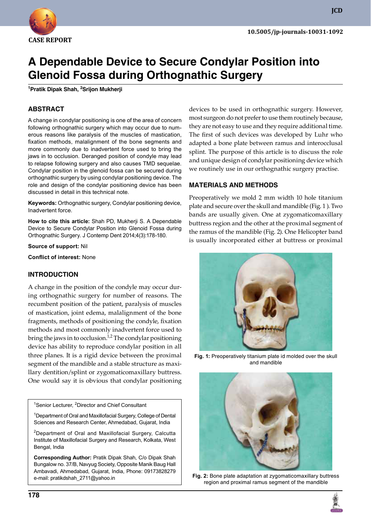

**JCD**

# **A Dependable Device to Secure Condylar Position into Glenoid Fossa during Orthognathic Surgery**

**<sup>1</sup>Pratik Dipak Shah, 2Srijon Mukherji**

## **ABSTRACT**

A change in condylar positioning is one of the area of concern following orthognathic surgery which may occur due to numerous reasons like paralysis of the muscles of mastication, fixation methods, malalignment of the bone segments and more commonly due to inadvertent force used to bring the jaws in to occlusion. Deranged position of condyle may lead to relapse following surgery and also causes TMD sequelae. Condylar position in the glenoid fossa can be secured during orthognathic surgery by using condylar positioning device. The role and design of the condylar positioning device has been discussed in detail in this technical note.

**Keywords:** Orthognathic surgery, Condylar positioning device, Inadvertent force.

**How to cite this article:** Shah PD, Mukherji S. A Dependable Device to Secure Condylar Position into Glenoid Fossa during Orthognathic Surgery. J Contemp Dent 2014;4(3):178-180.

**Source of support:** Nil

**Conflict of interest:** None

#### **InTRODuCTIOn**

A change in the position of the condyle may occur during orthognathic surgery for number of reasons. The recumbent position of the patient, paralysis of muscles of mastication, joint edema, malalignment of the bone fragments, methods of positioning the condyle, fixation methods and most commonly inadvertent force used to bring the jaws in to occlusion. $1/2$  The condylar positioning device has ability to reproduce condylar position in all three planes. It is a rigid device between the proximal segment of the mandible and a stable structure as maxillary dentition/splint or zygomaticomaxillary buttress. One would say it is obvious that condylar positioning

<sup>1</sup>Senior Lecturer, <sup>2</sup>Director and Chief Consultant

<sup>1</sup>Department of Oral and Maxillofacial Surgery, College of Dental Sciences and Research Center, Ahmedabad, Gujarat, India

<sup>2</sup>Department of Oral and Maxillofacial Surgery, Calcutta Institute of Maxillofacial Surgery and Research, Kolkata, West Bengal, India

**Corresponding Author:** Pratik Dipak Shah, C/o Dipak Shah Bungalow no. 37/B, Navyug Society, Opposite Manik Baug Hall Ambavadi, Ahmedabad, Gujarat, India, Phone: 09173828279 e-mail: pratikdshah\_2711@yahoo.in

devices to be used in orthognathic surgery. However, most surgeon do not prefer to use them routinely because, they are not easy to use and they require additional time. The first of such devices was developed by Luhr who adapted a bone plate between ramus and interocclusal splint. The purpose of this article is to discuss the role and unique design of condylar positioning device which we routinely use in our orthognathic surgery practise.

#### **MATeRIAlS AnD MeThODS**

Preoperatively we mold 2 mm width 10 hole titanium plate and secure over the skull and mandible (Fig. 1 ). Two bands are usually given. One at zygomaticomaxillary buttress region and the other at the proximal segment of the ramus of the mandible (Fig. 2). One Helicopter band is usually incorporated either at buttress or proximal



**Fig. 1:** Preoperatively titanium plate id molded over the skull and mandible



**Fig. 2:** Bone plate adaptation at zygomaticomaxillary buttress region and proximal ramus segment of the mandible

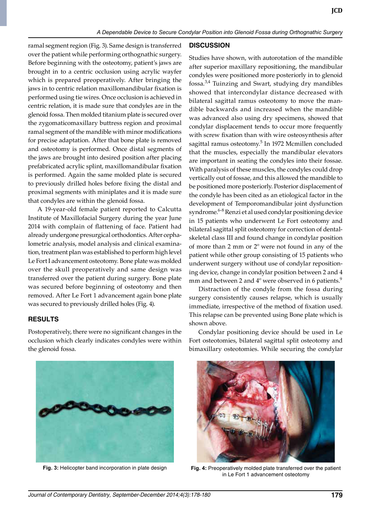ramal segment region (Fig. 3). Same design is transferred over the patient while performing orthognathic surgery. Before beginning with the osteotomy, patient's jaws are brought in to a centric occlusion using acrylic wayfer which is prepared preoperatively. After bringing the jaws in to centric relation maxillomandibular fixation is performed using tie wires. Once occlusion is achieved in centric relation, it is made sure that condyles are in the glenoid fossa. Then molded titanium plate is secured over the zygomaticomaxillary buttress region and proximal ramal segment of the mandible with minor modifications for precise adaptation. After that bone plate is removed and osteotomy is performed. Once distal segments of the jaws are brought into desired position after placing prefabricated acrylic splint, maxillomandibular fixation is performed. Again the same molded plate is secured to previously drilled holes before fixing the distal and proximal segments with miniplates and it is made sure that condyles are within the glenoid fossa.

 A 19-year-old female patient reported to Calcutta Institute of maxillofacial Surgery during the year june 2014 with complain of flattening of face. Patient had already undergone presurgical orthodontics. After cephalometric analysis, model analysis and clinical examination, treatment plan was established to perform high level Le Fort I advancement osteotomy. Bone plate was molded over the skull preoperatively and same design was transferred over the patient during surgery. Bone plate was secured before beginning of osteotomy and then removed. After Le Fort 1 advancement again bone plate was secured to previously drilled holes (Fig. 4).

## **ReSulTS**

Postoperatively, there were no significant changes in the occlusion which clearly indicates condyles were within the glenoid fossa.

#### **DISCuSSIOn**

Studies have shown, with autorotation of the mandible after superior maxillary repositioning, the mandibular condyles were positioned more posteriorly in to glenoid fossa.3,4 Tuinzing and Swart, studying dry mandibles showed that intercondylar distance decreased with bilateral sagittal ramus osteotomy to move the mandible backwards and increased when the mandible was advanced also using dry specimens, showed that condylar displacement tends to occur more frequently with screw fixation than with wire osteosynthesis after sagittal ramus osteotomy.<sup>5</sup> In 1972 Mcmillen concluded that the muscles, especially the mandibular elevators are important in seating the condyles into their fossae. With paralysis of these muscles, the condyles could drop vertically out of fossae, and this allowed the mandible to be positioned more posteriorly. Posterior displacement of the condyle has been cited as an etiological factor in the development of Temporomandibular joint dysfunction syndrome.<sup>6-8</sup> Renzi et al used condylar positioning device in 15 patients who underwent Le Fort osteotomy and bilateral sagittal split osteotomy for correction of dentalskeletal class III and found change in condylar position of more than 2 mm or 2º were not found in any of the patient while other group consisting of 15 patients who underwent surgery without use of condylar repositioning device, change in condylar position between 2 and 4 mm and between 2 and  $4^{\circ}$  were observed in 6 patients.<sup>9</sup>

 Distraction of the condyle from the fossa during surgery consistently causes relapse, which is usually immediate, irrespective of the method of fixation used. This relapse can be prevented using Bone plate which is shown above.

 Condylar positioning device should be used in Le Fort osteotomies, bilateral sagittal split osteotomy and bimaxillary osteotomies. While securing the condylar



**Fig. 3:** Helicopter band incorporation in plate design



**Fig. 4:** Preoperatively molded plate transferred over the patient in le fort 1 advancement osteotomy